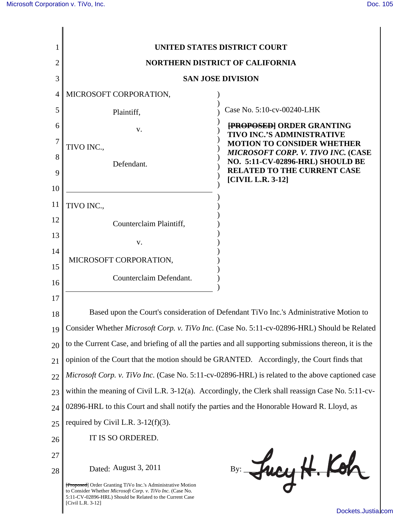

[Dockets.Justia.com](http://dockets.justia.com/)